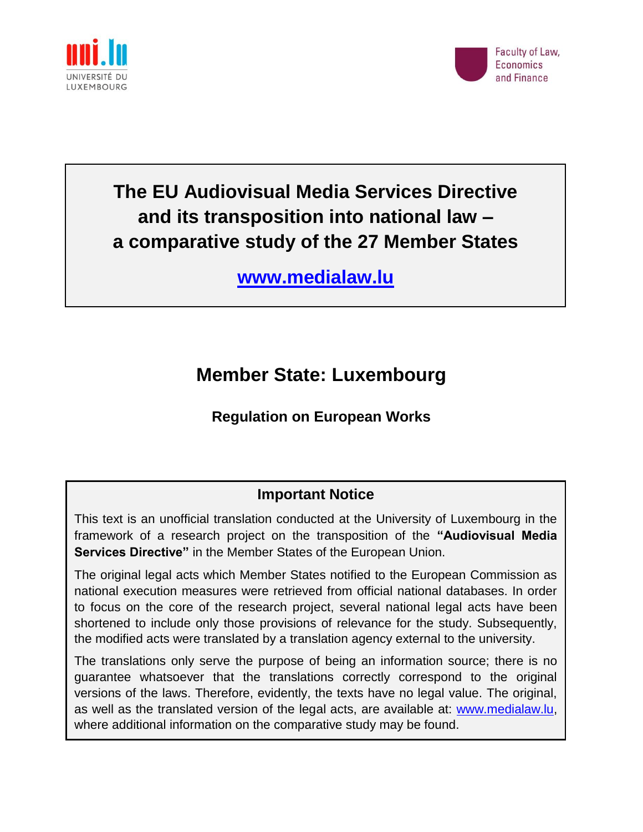



# **The EU Audiovisual Media Services Directive and its transposition into national law – a comparative study of the 27 Member States**

**[www.medialaw.lu](http://www.medialaw.lu/)**

# **Member State: Luxembourg**

## **Regulation on European Works**

## **Important Notice**

This text is an unofficial translation conducted at the University of Luxembourg in the framework of a research project on the transposition of the **"Audiovisual Media Services Directive"** in the Member States of the European Union.

The original legal acts which Member States notified to the European Commission as national execution measures were retrieved from official national databases. In order to focus on the core of the research project, several national legal acts have been shortened to include only those provisions of relevance for the study. Subsequently, the modified acts were translated by a translation agency external to the university.

The translations only serve the purpose of being an information source; there is no guarantee whatsoever that the translations correctly correspond to the original versions of the laws. Therefore, evidently, the texts have no legal value. The original, as well as the translated version of the legal acts, are available at: [www.medialaw.lu,](http://www.medialaw.lu/) where additional information on the comparative study may be found.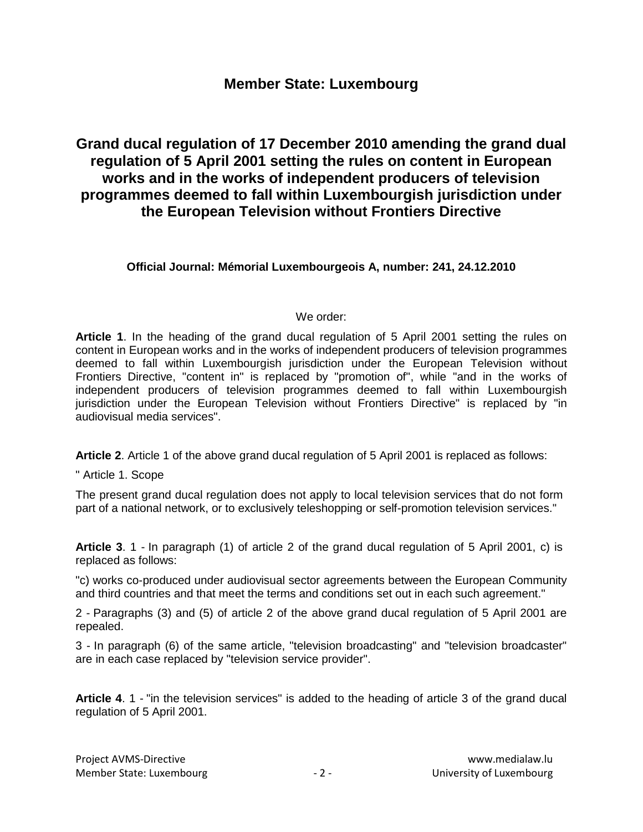### **Member State: Luxembourg**

### **Grand ducal regulation of 17 December 2010 amending the grand dual regulation of 5 April 2001 setting the rules on content in European works and in the works of independent producers of television programmes deemed to fall within Luxembourgish jurisdiction under the European Television without Frontiers Directive**

#### **Official Journal: Mémorial Luxembourgeois A, number: 241, 24.12.2010**

#### We order:

**Article 1**. In the heading of the grand ducal regulation of 5 April 2001 setting the rules on content in European works and in the works of independent producers of television programmes deemed to fall within Luxembourgish jurisdiction under the European Television without Frontiers Directive, "content in" is replaced by "promotion of", while "and in the works of independent producers of television programmes deemed to fall within Luxembourgish jurisdiction under the European Television without Frontiers Directive" is replaced by "in audiovisual media services".

**Article 2**. Article 1 of the above grand ducal regulation of 5 April 2001 is replaced as follows:

" Article 1. Scope

The present grand ducal regulation does not apply to local television services that do not form part of a national network, or to exclusively teleshopping or self-promotion television services."

**Article 3**. 1 - In paragraph (1) of article 2 of the grand ducal regulation of 5 April 2001, c) is replaced as follows:

"c) works co-produced under audiovisual sector agreements between the European Community and third countries and that meet the terms and conditions set out in each such agreement."

2 - Paragraphs (3) and (5) of article 2 of the above grand ducal regulation of 5 April 2001 are repealed.

3 - In paragraph (6) of the same article, "television broadcasting" and "television broadcaster" are in each case replaced by "television service provider".

**Article 4**. 1 - "in the television services" is added to the heading of article 3 of the grand ducal regulation of 5 April 2001.